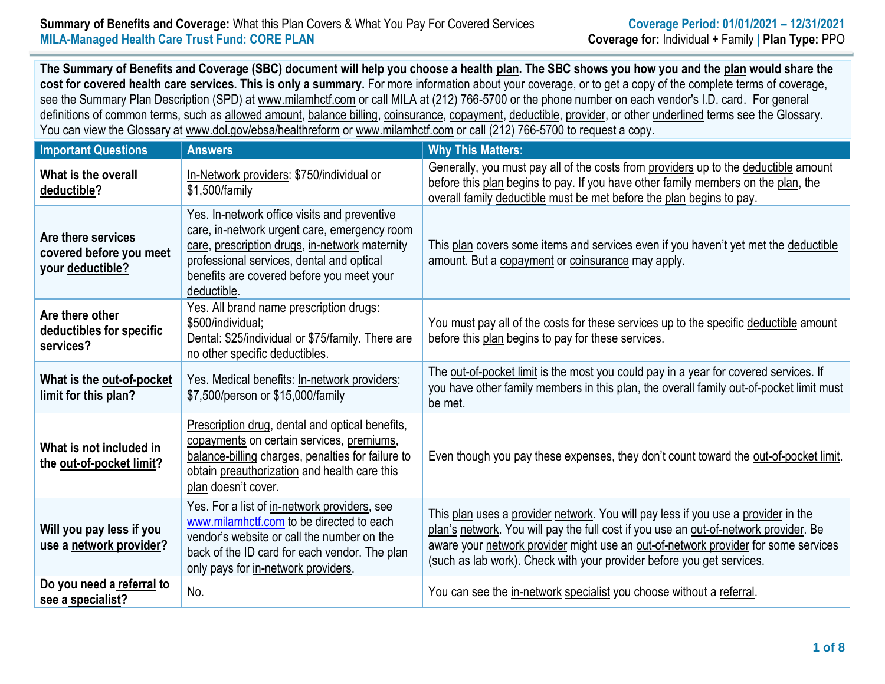## **Summary of Benefits and Coverage:** What this Plan Covers & What You Pay For Covered Services **Coverage Period: 01/01/2021 – 12/31/2021 MILA-Managed Health Care Trust Fund: CORE PLAN Coverage for:** Individual + Family | **Plan Type:** PPO

**The Summary of Benefits and Coverage (SBC) document will help you choose a health [plan.](https://www.healthcare.gov/sbc-glossary/#plan) The SBC shows you how you and the [plan](https://www.healthcare.gov/sbc-glossary/#plan) would share the cost for covered health care services. This is only a summary.** For more information about your coverage, or to get a copy of the complete terms of coverage, see the Summary Plan Description (SPD) at www.milamhctf.com or call MILA at (212) 766-5700 or the phone number on each vendor's I.D. card. For general definitions of common terms, such as [allowed amount,](https://www.healthcare.gov/sbc-glossary/#allowed-amount) [balance billing,](https://www.healthcare.gov/sbc-glossary/#balance-billing) [coinsurance,](https://www.healthcare.gov/sbc-glossary/#coinsurance) [copayment,](https://www.healthcare.gov/sbc-glossary/#copayment) [deductible,](https://www.healthcare.gov/sbc-glossary/#deductible) [provider,](https://www.healthcare.gov/sbc-glossary/#provider) or other underlined terms see the Glossary. You can view the Glossary at www.dol.gov/ebsa/healthreform or www.milamhctf.com or call (212) 766-5700 to request a copy.

| <b>Important Questions</b>                                        | <b>Answers</b>                                                                                                                                                                                                                                          | <b>Why This Matters:</b>                                                                                                                                                                                                                                                                                                                 |
|-------------------------------------------------------------------|---------------------------------------------------------------------------------------------------------------------------------------------------------------------------------------------------------------------------------------------------------|------------------------------------------------------------------------------------------------------------------------------------------------------------------------------------------------------------------------------------------------------------------------------------------------------------------------------------------|
| What is the overall<br>deductible?                                | In-Network providers: \$750/individual or<br>\$1,500/family                                                                                                                                                                                             | Generally, you must pay all of the costs from providers up to the deductible amount<br>before this plan begins to pay. If you have other family members on the plan, the<br>overall family deductible must be met before the plan begins to pay.                                                                                         |
| Are there services<br>covered before you meet<br>your deductible? | Yes. In-network office visits and preventive<br>care, in-network urgent care, emergency room<br>care, prescription drugs, in-network maternity<br>professional services, dental and optical<br>benefits are covered before you meet your<br>deductible. | This plan covers some items and services even if you haven't yet met the deductible<br>amount. But a copayment or coinsurance may apply.                                                                                                                                                                                                 |
| Are there other<br>deductibles for specific<br>services?          | Yes. All brand name prescription drugs:<br>\$500/individual;<br>Dental: \$25/individual or \$75/family. There are<br>no other specific deductibles.                                                                                                     | You must pay all of the costs for these services up to the specific deductible amount<br>before this plan begins to pay for these services.                                                                                                                                                                                              |
| What is the out-of-pocket<br>limit for this plan?                 | Yes. Medical benefits: In-network providers:<br>\$7,500/person or \$15,000/family                                                                                                                                                                       | The out-of-pocket limit is the most you could pay in a year for covered services. If<br>you have other family members in this plan, the overall family out-of-pocket limit must<br>be met.                                                                                                                                               |
| What is not included in<br>the out-of-pocket limit?               | Prescription drug, dental and optical benefits,<br>copayments on certain services, premiums,<br>balance-billing charges, penalties for failure to<br>obtain preauthorization and health care this<br>plan doesn't cover.                                | Even though you pay these expenses, they don't count toward the out-of-pocket limit.                                                                                                                                                                                                                                                     |
| Will you pay less if you<br>use a network provider?               | Yes. For a list of in-network providers, see<br>www.milamhctf.com to be directed to each<br>vendor's website or call the number on the<br>back of the ID card for each vendor. The plan<br>only pays for in-network providers.                          | This plan uses a provider network. You will pay less if you use a provider in the<br>plan's network. You will pay the full cost if you use an out-of-network provider. Be<br>aware your network provider might use an out-of-network provider for some services<br>(such as lab work). Check with your provider before you get services. |
| Do you need a referral to<br>see a specialist?                    | No.                                                                                                                                                                                                                                                     | You can see the in-network specialist you choose without a referral.                                                                                                                                                                                                                                                                     |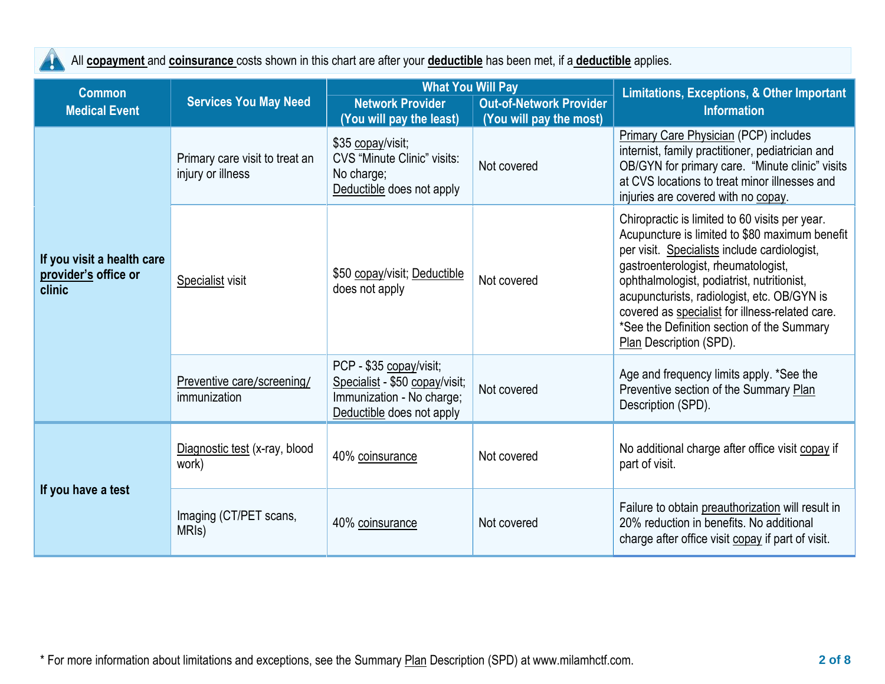All **[copayment](https://www.healthcare.gov/sbc-glossary/#copayment)** and **[coinsurance](https://www.healthcare.gov/sbc-glossary/#coinsurance)** costs shown in this chart are after your **[deductible](https://www.healthcare.gov/sbc-glossary/#deductible)** has been met, if a **[deductible](https://www.healthcare.gov/sbc-glossary/#deductible)** applies.

4

| <b>Common</b>                                                |                                                     | <b>What You Will Pay</b>                                                                                            |                                | <b>Limitations, Exceptions, &amp; Other Important</b>                                                                                                                                                                                                                                                                                                                                                            |
|--------------------------------------------------------------|-----------------------------------------------------|---------------------------------------------------------------------------------------------------------------------|--------------------------------|------------------------------------------------------------------------------------------------------------------------------------------------------------------------------------------------------------------------------------------------------------------------------------------------------------------------------------------------------------------------------------------------------------------|
| <b>Medical Event</b>                                         | <b>Services You May Need</b>                        | <b>Network Provider</b>                                                                                             | <b>Out-of-Network Provider</b> | <b>Information</b>                                                                                                                                                                                                                                                                                                                                                                                               |
|                                                              |                                                     | (You will pay the least)                                                                                            | (You will pay the most)        |                                                                                                                                                                                                                                                                                                                                                                                                                  |
|                                                              | Primary care visit to treat an<br>injury or illness | \$35 copay/visit;<br><b>CVS</b> "Minute Clinic" visits:<br>No charge;<br>Deductible does not apply                  | Not covered                    | <b>Primary Care Physician (PCP) includes</b><br>internist, family practitioner, pediatrician and<br>OB/GYN for primary care. "Minute clinic" visits<br>at CVS locations to treat minor illnesses and<br>injuries are covered with no copay.                                                                                                                                                                      |
| If you visit a health care<br>provider's office or<br>clinic | Specialist visit                                    | \$50 copay/visit; Deductible<br>does not apply                                                                      | Not covered                    | Chiropractic is limited to 60 visits per year.<br>Acupuncture is limited to \$80 maximum benefit<br>per visit. Specialists include cardiologist,<br>gastroenterologist, rheumatologist,<br>ophthalmologist, podiatrist, nutritionist,<br>acupuncturists, radiologist, etc. OB/GYN is<br>covered as specialist for illness-related care.<br>*See the Definition section of the Summary<br>Plan Description (SPD). |
|                                                              | Preventive care/screening/<br>immunization          | PCP - \$35 copay/visit;<br>Specialist - \$50 copay/visit;<br>Immunization - No charge;<br>Deductible does not apply | Not covered                    | Age and frequency limits apply. *See the<br>Preventive section of the Summary Plan<br>Description (SPD).                                                                                                                                                                                                                                                                                                         |
| If you have a test                                           | Diagnostic test (x-ray, blood<br>work)              | 40% coinsurance                                                                                                     | Not covered                    | No additional charge after office visit copay if<br>part of visit.                                                                                                                                                                                                                                                                                                                                               |
|                                                              | Imaging (CT/PET scans,<br>MRI <sub>s</sub> )        | 40% coinsurance                                                                                                     | Not covered                    | Failure to obtain preauthorization will result in<br>20% reduction in benefits. No additional<br>charge after office visit copay if part of visit.                                                                                                                                                                                                                                                               |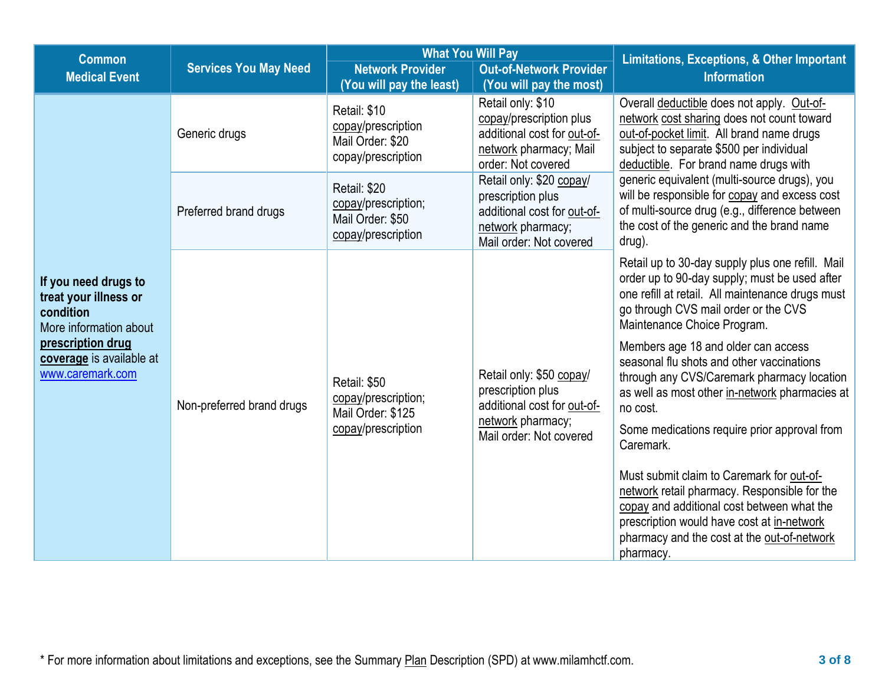| <b>Common</b>                                                                                                                                             |                              | <b>What You Will Pay</b>                                                       |                                                                                                                              | <b>Limitations, Exceptions, &amp; Other Important</b>                                                                                                                                                                                        |
|-----------------------------------------------------------------------------------------------------------------------------------------------------------|------------------------------|--------------------------------------------------------------------------------|------------------------------------------------------------------------------------------------------------------------------|----------------------------------------------------------------------------------------------------------------------------------------------------------------------------------------------------------------------------------------------|
| <b>Medical Event</b>                                                                                                                                      | <b>Services You May Need</b> | <b>Network Provider</b><br>(You will pay the least)                            | <b>Out-of-Network Provider</b><br>(You will pay the most)                                                                    | <b>Information</b>                                                                                                                                                                                                                           |
|                                                                                                                                                           | Generic drugs                | Retail: \$10<br>copay/prescription<br>Mail Order: \$20<br>copay/prescription   | Retail only: \$10<br>copay/prescription plus<br>additional cost for out-of-<br>network pharmacy; Mail<br>order: Not covered  | Overall deductible does not apply. Out-of-<br>network cost sharing does not count toward<br>out-of-pocket limit. All brand name drugs<br>subject to separate \$500 per individual<br>deductible. For brand name drugs with                   |
|                                                                                                                                                           | Preferred brand drugs        | Retail: \$20<br>copay/prescription;<br>Mail Order: \$50<br>copay/prescription  | Retail only: \$20 copay/<br>prescription plus<br>additional cost for out-of-<br>network pharmacy;<br>Mail order: Not covered | generic equivalent (multi-source drugs), you<br>will be responsible for copay and excess cost<br>of multi-source drug (e.g., difference between<br>the cost of the generic and the brand name<br>drug).                                      |
| If you need drugs to<br>treat your illness or<br>condition<br>More information about<br>prescription drug<br>coverage is available at<br>www.caremark.com | Non-preferred brand drugs    | Retail: \$50<br>copay/prescription;<br>Mail Order: \$125<br>copay/prescription | Retail only: \$50 copay/<br>prescription plus<br>additional cost for out-of-<br>network pharmacy;                            | Retail up to 30-day supply plus one refill. Mail<br>order up to 90-day supply; must be used after<br>one refill at retail. All maintenance drugs must<br>go through CVS mail order or the CVS<br>Maintenance Choice Program.                 |
|                                                                                                                                                           |                              |                                                                                |                                                                                                                              | Members age 18 and older can access<br>seasonal flu shots and other vaccinations<br>through any CVS/Caremark pharmacy location<br>as well as most other in-network pharmacies at<br>no cost.<br>Some medications require prior approval from |
|                                                                                                                                                           |                              |                                                                                |                                                                                                                              | Mail order: Not covered                                                                                                                                                                                                                      |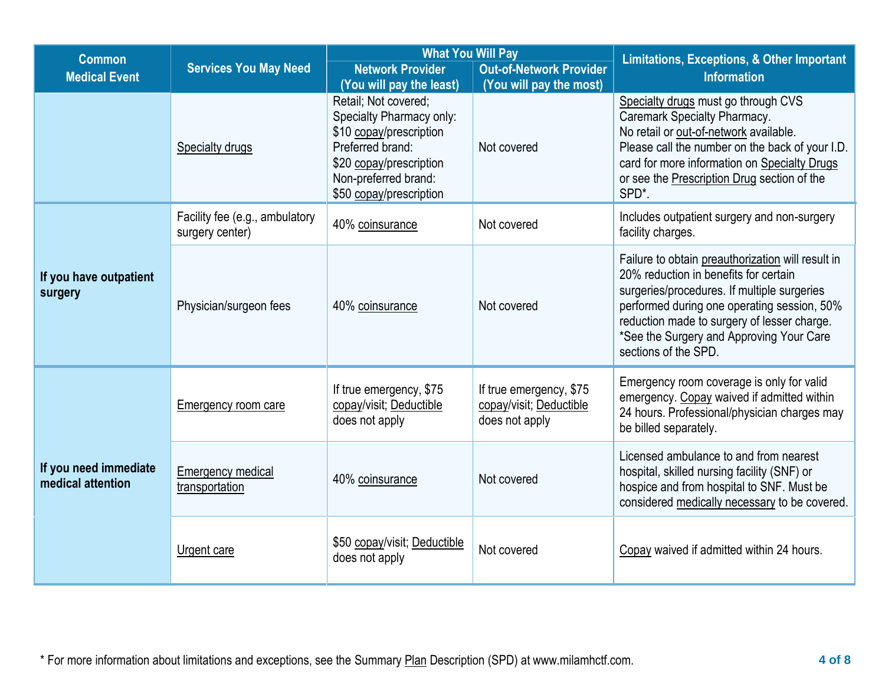| <b>Common</b>                              |                                                   | <b>What You Will Pay</b>                                                                                                                                                                                  |                                                                      | <b>Limitations, Exceptions, &amp; Other Important</b>                                                                                                                                                                                                                                                       |  |
|--------------------------------------------|---------------------------------------------------|-----------------------------------------------------------------------------------------------------------------------------------------------------------------------------------------------------------|----------------------------------------------------------------------|-------------------------------------------------------------------------------------------------------------------------------------------------------------------------------------------------------------------------------------------------------------------------------------------------------------|--|
| <b>Medical Event</b>                       | <b>Services You May Need</b>                      | <b>Network Provider</b>                                                                                                                                                                                   | <b>Out-of-Network Provider</b>                                       | <b>Information</b>                                                                                                                                                                                                                                                                                          |  |
|                                            | <b>Specialty drugs</b>                            | (You will pay the least)<br>Retail; Not covered;<br>Specialty Pharmacy only:<br>\$10 copay/prescription<br>Preferred brand:<br>\$20 copay/prescription<br>Non-preferred brand:<br>\$50 copay/prescription | (You will pay the most)<br>Not covered                               | Specialty drugs must go through CVS<br><b>Caremark Specialty Pharmacy.</b><br>No retail or out-of-network available.<br>Please call the number on the back of your I.D.<br>card for more information on Specialty Drugs<br>or see the Prescription Drug section of the<br>SPD*.                             |  |
|                                            | Facility fee (e.g., ambulatory<br>surgery center) | 40% coinsurance                                                                                                                                                                                           | Not covered                                                          | Includes outpatient surgery and non-surgery<br>facility charges.                                                                                                                                                                                                                                            |  |
| If you have outpatient<br>surgery          | Physician/surgeon fees                            | 40% coinsurance                                                                                                                                                                                           | Not covered                                                          | Failure to obtain preauthorization will result in<br>20% reduction in benefits for certain<br>surgeries/procedures. If multiple surgeries<br>performed during one operating session, 50%<br>reduction made to surgery of lesser charge.<br>*See the Surgery and Approving Your Care<br>sections of the SPD. |  |
|                                            | Emergency room care                               | If true emergency, \$75<br>copay/visit; Deductible<br>does not apply                                                                                                                                      | If true emergency, \$75<br>copay/visit; Deductible<br>does not apply | Emergency room coverage is only for valid<br>emergency. Copay waived if admitted within<br>24 hours. Professional/physician charges may<br>be billed separately.                                                                                                                                            |  |
| If you need immediate<br>medical attention | <b>Emergency medical</b><br>transportation        | 40% coinsurance                                                                                                                                                                                           | Not covered                                                          | Licensed ambulance to and from nearest<br>hospital, skilled nursing facility (SNF) or<br>hospice and from hospital to SNF. Must be<br>considered medically necessary to be covered.                                                                                                                         |  |
|                                            | Urgent care                                       | \$50 copay/visit; Deductible<br>does not apply                                                                                                                                                            | Not covered                                                          | Copay waived if admitted within 24 hours.                                                                                                                                                                                                                                                                   |  |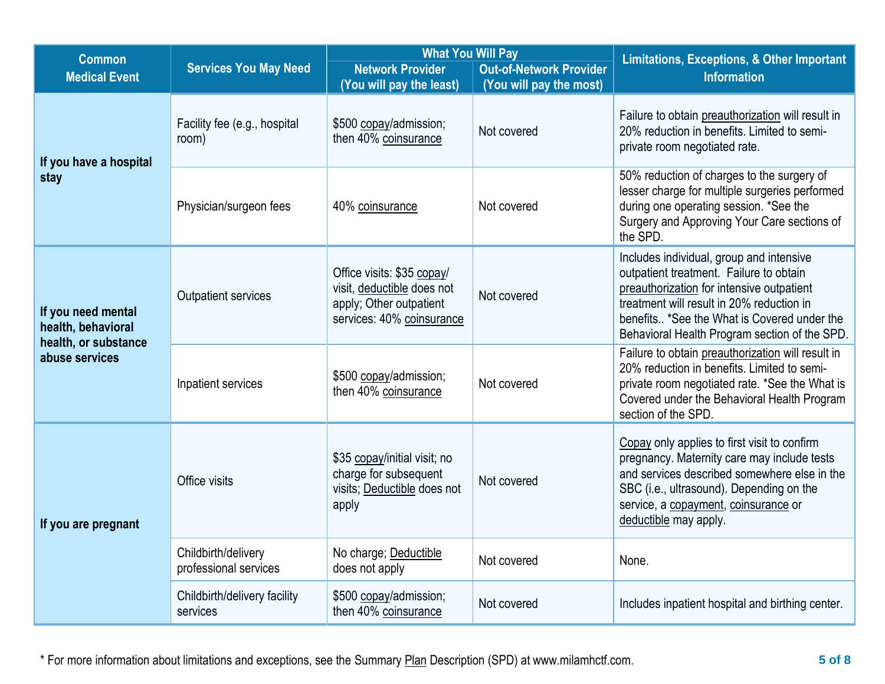| <b>Common</b>                            |                                              | <b>What You Will Pay</b>                                                                                         | Limitations, Exceptions, & Other Important |                                                                                                                                                                                                                                                                               |  |
|------------------------------------------|----------------------------------------------|------------------------------------------------------------------------------------------------------------------|--------------------------------------------|-------------------------------------------------------------------------------------------------------------------------------------------------------------------------------------------------------------------------------------------------------------------------------|--|
| <b>Medical Event</b>                     | <b>Services You May Need</b>                 | <b>Network Provider</b>                                                                                          | <b>Out-of-Network Provider</b>             | <b>Information</b>                                                                                                                                                                                                                                                            |  |
|                                          |                                              | (You will pay the least)                                                                                         | (You will pay the most)                    |                                                                                                                                                                                                                                                                               |  |
| If you have a hospital                   | Facility fee (e.g., hospital<br>room)        | \$500 copay/admission;<br>then 40% coinsurance                                                                   | Not covered                                | Failure to obtain preauthorization will result in<br>20% reduction in benefits. Limited to semi-<br>private room negotiated rate.                                                                                                                                             |  |
| stay                                     | Physician/surgeon fees                       | 40% coinsurance                                                                                                  | Not covered                                | 50% reduction of charges to the surgery of<br>lesser charge for multiple surgeries performed<br>during one operating session. *See the<br>Surgery and Approving Your Care sections of<br>the SPD.                                                                             |  |
| If you need mental<br>health, behavioral | Outpatient services                          | Office visits: \$35 copay/<br>visit, deductible does not<br>apply; Other outpatient<br>services: 40% coinsurance | Not covered                                | Includes individual, group and intensive<br>outpatient treatment. Failure to obtain<br>preauthorization for intensive outpatient<br>treatment will result in 20% reduction in<br>benefits *See the What is Covered under the<br>Behavioral Health Program section of the SPD. |  |
| health, or substance<br>abuse services   | Inpatient services                           | \$500 copay/admission;<br>then 40% coinsurance                                                                   | Not covered                                | Failure to obtain preauthorization will result in<br>20% reduction in benefits. Limited to semi-<br>private room negotiated rate. *See the What is<br>Covered under the Behavioral Health Program<br>section of the SPD.                                                      |  |
| If you are pregnant                      | Office visits                                | \$35 copay/initial visit; no<br>charge for subsequent<br>visits; Deductible does not<br>apply                    | Not covered                                | Copay only applies to first visit to confirm<br>pregnancy. Maternity care may include tests<br>and services described somewhere else in the<br>SBC (i.e., ultrasound). Depending on the<br>service, a copayment, coinsurance or<br>deductible may apply.                      |  |
|                                          | Childbirth/delivery<br>professional services | No charge; Deductible<br>does not apply                                                                          | Not covered                                | None.                                                                                                                                                                                                                                                                         |  |
|                                          | Childbirth/delivery facility<br>services     | \$500 copay/admission;<br>then 40% coinsurance                                                                   | Not covered                                | Includes inpatient hospital and birthing center.                                                                                                                                                                                                                              |  |

\* For more information about limitations and exceptions, see the Summary Plan Description (SPD) at www.milamhctf.com. **5 of 8**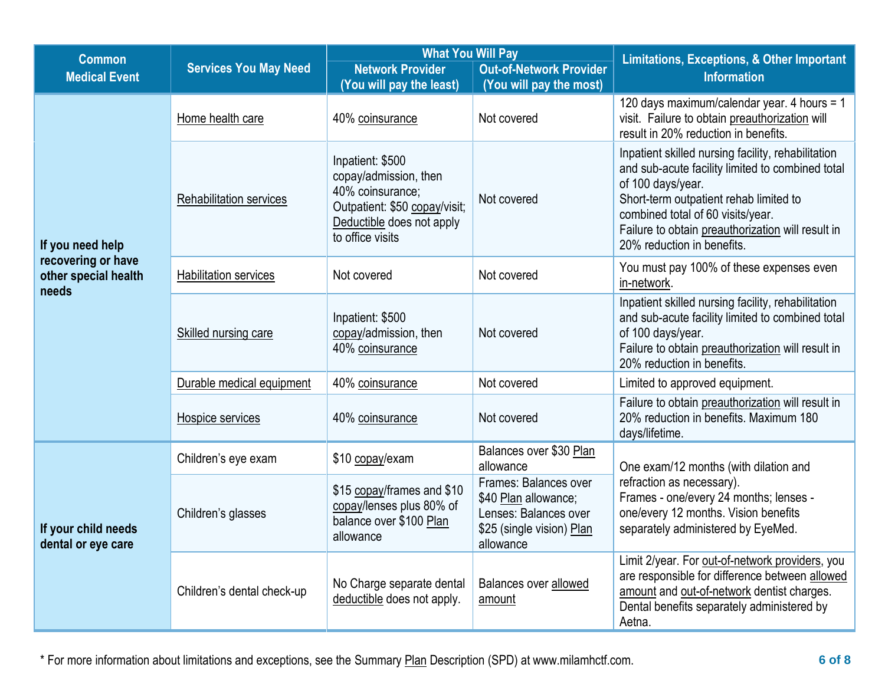| <b>Common</b>                                                                                                                                                                         |                              | <b>What You Will Pay</b>                                                                                                                        |                                                                                                                  | <b>Limitations, Exceptions, &amp; Other Important</b>                                                                                                                                                                                                                                         |  |
|---------------------------------------------------------------------------------------------------------------------------------------------------------------------------------------|------------------------------|-------------------------------------------------------------------------------------------------------------------------------------------------|------------------------------------------------------------------------------------------------------------------|-----------------------------------------------------------------------------------------------------------------------------------------------------------------------------------------------------------------------------------------------------------------------------------------------|--|
| <b>Medical Event</b>                                                                                                                                                                  | <b>Services You May Need</b> | <b>Network Provider</b>                                                                                                                         | <b>Out-of-Network Provider</b>                                                                                   | <b>Information</b>                                                                                                                                                                                                                                                                            |  |
|                                                                                                                                                                                       |                              | (You will pay the least)                                                                                                                        | (You will pay the most)                                                                                          |                                                                                                                                                                                                                                                                                               |  |
| Home health care<br><b>Rehabilitation services</b><br>If you need help<br>recovering or have<br>other special health<br><b>Habilitation services</b><br>needs<br>Skilled nursing care |                              | 40% coinsurance                                                                                                                                 | Not covered                                                                                                      | 120 days maximum/calendar year. 4 hours = 1<br>visit. Failure to obtain preauthorization will<br>result in 20% reduction in benefits.                                                                                                                                                         |  |
|                                                                                                                                                                                       |                              | Inpatient: \$500<br>copay/admission, then<br>40% coinsurance;<br>Outpatient: \$50 copay/visit;<br>Deductible does not apply<br>to office visits | Not covered                                                                                                      | Inpatient skilled nursing facility, rehabilitation<br>and sub-acute facility limited to combined total<br>of 100 days/year.<br>Short-term outpatient rehab limited to<br>combined total of 60 visits/year.<br>Failure to obtain preauthorization will result in<br>20% reduction in benefits. |  |
|                                                                                                                                                                                       |                              | Not covered                                                                                                                                     | Not covered                                                                                                      | You must pay 100% of these expenses even<br>in-network.                                                                                                                                                                                                                                       |  |
|                                                                                                                                                                                       |                              | Inpatient: \$500<br>copay/admission, then<br>40% coinsurance                                                                                    | Not covered                                                                                                      | Inpatient skilled nursing facility, rehabilitation<br>and sub-acute facility limited to combined total<br>of 100 days/year.<br>Failure to obtain preauthorization will result in<br>20% reduction in benefits.                                                                                |  |
|                                                                                                                                                                                       | Durable medical equipment    | 40% coinsurance                                                                                                                                 | Not covered                                                                                                      | Limited to approved equipment.                                                                                                                                                                                                                                                                |  |
|                                                                                                                                                                                       | Hospice services             | 40% coinsurance                                                                                                                                 | Not covered                                                                                                      | Failure to obtain preauthorization will result in<br>20% reduction in benefits. Maximum 180<br>days/lifetime.                                                                                                                                                                                 |  |
|                                                                                                                                                                                       | Children's eye exam          | \$10 copay/exam                                                                                                                                 | Balances over \$30 Plan<br>allowance                                                                             | One exam/12 months (with dilation and                                                                                                                                                                                                                                                         |  |
| If your child needs<br>dental or eye care                                                                                                                                             | Children's glasses           | \$15 copay/frames and \$10<br>copay/lenses plus 80% of<br>balance over \$100 Plan<br>allowance                                                  | Frames: Balances over<br>\$40 Plan allowance;<br>Lenses: Balances over<br>\$25 (single vision) Plan<br>allowance | refraction as necessary).<br>Frames - one/every 24 months; lenses -<br>one/every 12 months. Vision benefits<br>separately administered by EyeMed.                                                                                                                                             |  |
|                                                                                                                                                                                       | Children's dental check-up   | No Charge separate dental<br>deductible does not apply.                                                                                         | Balances over allowed<br>amount                                                                                  | Limit 2/year. For out-of-network providers, you<br>are responsible for difference between allowed<br>amount and out-of-network dentist charges.<br>Dental benefits separately administered by<br>Aetna.                                                                                       |  |

\* For more information about limitations and exceptions, see the Summary Plan Description (SPD) at www.milamhctf.com. **6 of 8**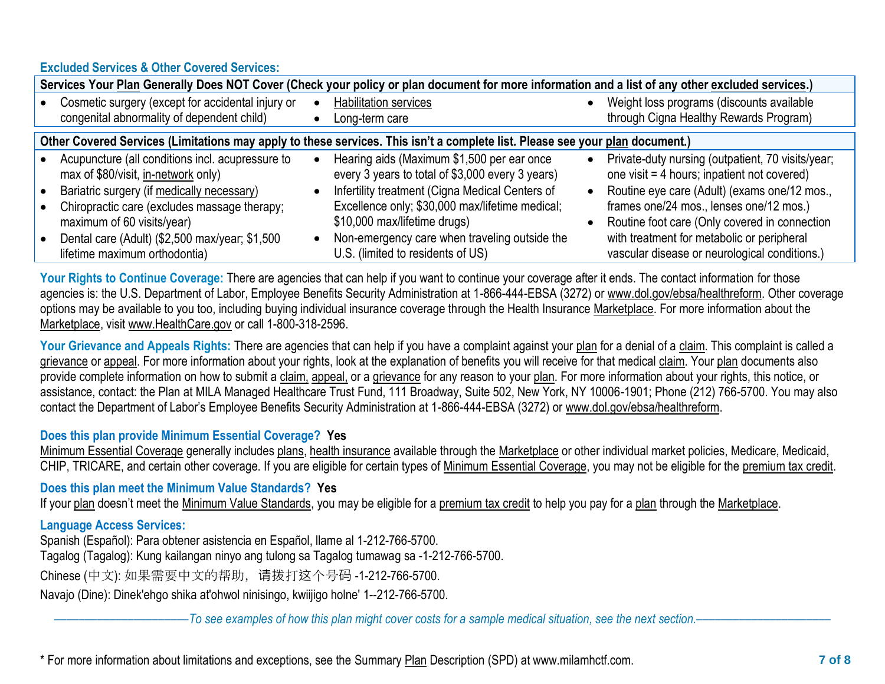# **Excluded Services & Other Covered Services:**

| Services Your Plan Generally Does NOT Cover (Check your policy or plan document for more information and a list of any other excluded services.)                                                                                                                                                       |  |                                                                                                                                                                                                                                                                                                                            |  |                                                                                                                                                                                                                                                                                                                                             |  |
|--------------------------------------------------------------------------------------------------------------------------------------------------------------------------------------------------------------------------------------------------------------------------------------------------------|--|----------------------------------------------------------------------------------------------------------------------------------------------------------------------------------------------------------------------------------------------------------------------------------------------------------------------------|--|---------------------------------------------------------------------------------------------------------------------------------------------------------------------------------------------------------------------------------------------------------------------------------------------------------------------------------------------|--|
| Cosmetic surgery (except for accidental injury or<br>congenital abnormality of dependent child)                                                                                                                                                                                                        |  | <b>Habilitation services</b><br>Long-term care                                                                                                                                                                                                                                                                             |  | Weight loss programs (discounts available<br>through Cigna Healthy Rewards Program)                                                                                                                                                                                                                                                         |  |
| Other Covered Services (Limitations may apply to these services. This isn't a complete list. Please see your plan document.)                                                                                                                                                                           |  |                                                                                                                                                                                                                                                                                                                            |  |                                                                                                                                                                                                                                                                                                                                             |  |
| Acupuncture (all conditions incl. acupressure to<br>max of \$80/visit, in-network only)<br>Bariatric surgery (if medically necessary)<br>Chiropractic care (excludes massage therapy;<br>maximum of 60 visits/year)<br>Dental care (Adult) (\$2,500 max/year; \$1,500<br>lifetime maximum orthodontia) |  | Hearing aids (Maximum \$1,500 per ear once<br>every 3 years to total of \$3,000 every 3 years)<br>Infertility treatment (Cigna Medical Centers of<br>Excellence only; \$30,000 max/lifetime medical;<br>\$10,000 max/lifetime drugs)<br>Non-emergency care when traveling outside the<br>U.S. (limited to residents of US) |  | Private-duty nursing (outpatient, 70 visits/year;<br>one visit = 4 hours; inpatient not covered)<br>Routine eye care (Adult) (exams one/12 mos.,<br>frames one/24 mos., lenses one/12 mos.)<br>Routine foot care (Only covered in connection<br>with treatment for metabolic or peripheral<br>vascular disease or neurological conditions.) |  |

Your Rights to Continue Coverage: There are agencies that can help if you want to continue your coverage after it ends. The contact information for those agencies is: the U.S. Department of Labor, Employee Benefits Security Administration at 1-866-444-EBSA (3272) or www.dol.gov/ebsa/healthreform. Other coverage options may be available to you too, including buying individual insurance coverage through the Health Insurance [Marketplace.](https://www.healthcare.gov/sbc-glossary/#marketplace) For more information about the [Marketplace,](https://www.healthcare.gov/sbc-glossary/#marketplace) visit [www.HealthCare.gov](http://www.healthcare.gov/) or call 1-800-318-2596.

Your Grievance and Appeals Rights: There are agencies that can help if you have a complaint against your [plan](https://www.healthcare.gov/sbc-glossary/#plan) for a denial of [a claim.](https://www.healthcare.gov/sbc-glossary/#claim) This complaint is called a [grievance](https://www.healthcare.gov/sbc-glossary/#grievance) or [appeal.](https://www.healthcare.gov/sbc-glossary/#appeal) For more information about your rights, look at the explanation of benefits you will receive for that medical [claim.](https://www.healthcare.gov/sbc-glossary/#claim) Your [plan](https://www.healthcare.gov/sbc-glossary/#plan) documents also provide complete information on how to submit a [claim,](https://www.healthcare.gov/sbc-glossary/#claim) [appeal,](https://www.healthcare.gov/sbc-glossary/#appeal) or a [grievance](https://www.healthcare.gov/sbc-glossary/#grievance) for any reason to your [plan.](https://www.healthcare.gov/sbc-glossary/#plan) For more information about your rights, this notice, or assistance, contact: the Plan at MILA Managed Healthcare Trust Fund, 111 Broadway, Suite 502, New York, NY 10006-1901; Phone (212) 766-5700. You may also contact the Department of Labor's Employee Benefits Security Administration at 1-866-444-EBSA (3272) or www.dol.gov/ebsa/healthreform.

## **Does this plan provide Minimum Essential Coverage? Yes**

[Minimum Essential Coverage](https://www.healthcare.gov/sbc-glossary/#minimum-essential-coverage) generally includes plans, health insurance available through the Marketplace or other individual market policies, Medicare, Medicaid, CHIP, TRICARE, and certain other coverage. If you are eligible for certain types of [Minimum Essential Coverage,](https://www.healthcare.gov/sbc-glossary/#minimum-essential-coverage) you may not be eligible for the premium tax credit.

**Does this plan meet the Minimum Value Standards? Yes**

If your [plan](https://www.healthcare.gov/sbc-glossary/#plan) doesn't meet the [Minimum Value Standards,](https://www.healthcare.gov/sbc-glossary/#minimum-value-standard) you may be eligible for a [premium tax credit](https://www.healthcare.gov/sbc-glossary/#premium-tax-credits) to help you pay for a [plan](https://www.healthcare.gov/sbc-glossary/#plan) through the [Marketplace.](https://www.healthcare.gov/sbc-glossary/#marketplace)

## **Language Access Services:**

Spanish (Español): Para obtener asistencia en Español, llame al 1-212-766-5700.

Tagalog (Tagalog): Kung kailangan ninyo ang tulong sa Tagalog tumawag sa -1-212-766-5700.

Chinese (中文): 如果需要中文的帮助, 请拨打这个号码 -1-212-766-5700.

Navajo (Dine): Dinek'ehgo shika at'ohwol ninisingo, kwiijigo holne' 1--212-766-5700.

––––––––––––––––––––––*To see examples of how this plan might cover costs for a sample medical situation, see the next section.–––––––––––*–––––––––––

\* For more information about limitations and exceptions, see the Summary Plan Description (SPD) at www.milamhctf.com. **7 of 8**